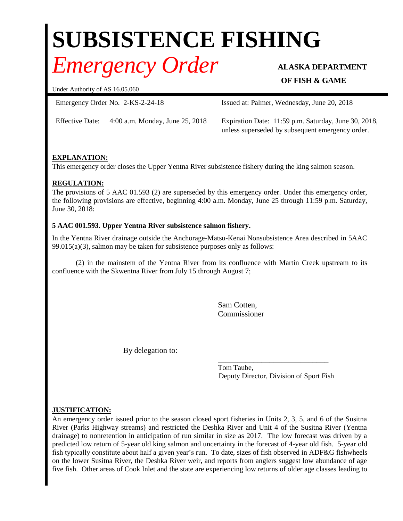# **SUBSISTENCE FISHING**

## *Emergency Order* **ALASKA DEPARTMENT**

### **OF FISH & GAME**

Under Authority of AS 16.05.060

Emergency Order No. 2-KS-2-24-18 Issued at: Palmer, Wednesday, June 20**,** 2018

Effective Date: 4:00 a.m. Monday, June 25, 2018 Expiration Date: 11:59 p.m. Saturday, June 30, 2018, unless superseded by subsequent emergency order.

### **EXPLANATION:**

This emergency order closes the Upper Yentna River subsistence fishery during the king salmon season.

#### **REGULATION:**

The provisions of 5 AAC 01.593 (2) are superseded by this emergency order. Under this emergency order, the following provisions are effective, beginning 4:00 a.m. Monday, June 25 through 11:59 p.m. Saturday, June 30, 2018:

#### **5 AAC 001.593. Upper Yentna River subsistence salmon fishery.**

In the Yentna River drainage outside the Anchorage-Matsu-Kenai Nonsubsistence Area described in 5AAC 99.015(a)(3), salmon may be taken for subsistence purposes only as follows:

(2) in the mainstem of the Yentna River from its confluence with Martin Creek upstream to its confluence with the Skwentna River from July 15 through August 7;

> Sam Cotten, Commissioner

By delegation to:

\_\_\_\_\_\_\_\_\_\_\_\_\_\_\_\_\_\_\_\_\_\_\_\_\_\_\_\_ Tom Taube, Deputy Director, Division of Sport Fish

#### **JUSTIFICATION:**

An emergency order issued prior to the season closed sport fisheries in Units 2, 3, 5, and 6 of the Susitna River (Parks Highway streams) and restricted the Deshka River and Unit 4 of the Susitna River (Yentna drainage) to nonretention in anticipation of run similar in size as 2017. The low forecast was driven by a predicted low return of 5-year old king salmon and uncertainty in the forecast of 4-year old fish. 5-year old fish typically constitute about half a given year's run. To date, sizes of fish observed in ADF&G fishwheels on the lower Susitna River, the Deshka River weir, and reports from anglers suggest low abundance of age five fish. Other areas of Cook Inlet and the state are experiencing low returns of older age classes leading to